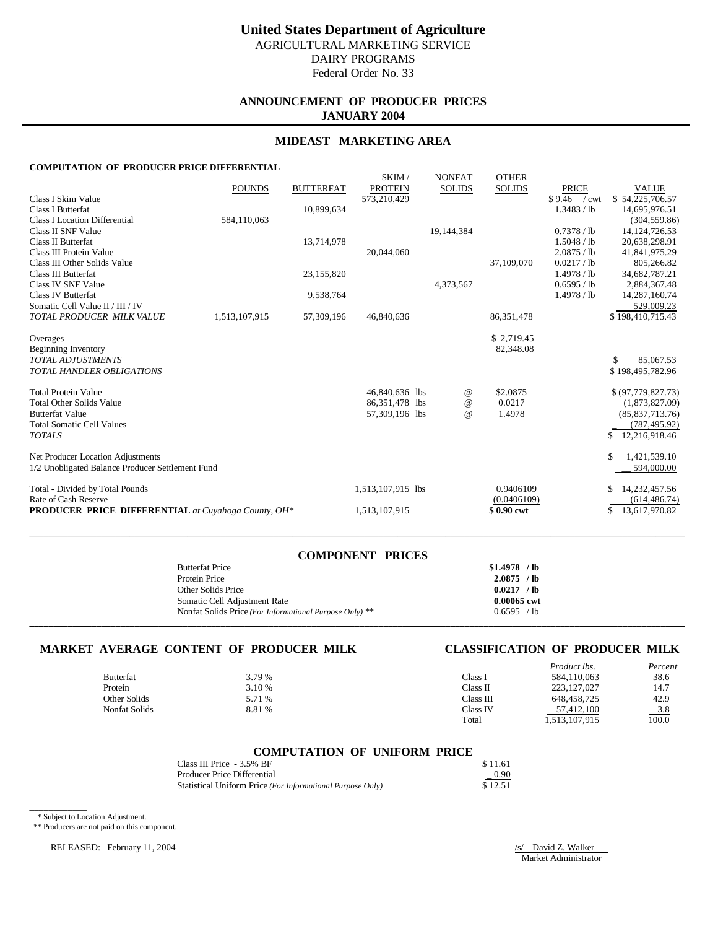# **ANNOUNCEMENT OF PRODUCER PRICES JANUARY 2004**

#### **MIDEAST MARKETING AREA**

#### **COMPUTATION OF PRODUCER PRICE DIFFERENTIAL**

|                                                            | <b>POUNDS</b> | <b>BUTTERFAT</b> | SKIM/<br><b>PROTEIN</b> | <b>NONFAT</b><br><b>SOLIDS</b> | <b>OTHER</b><br><b>SOLIDS</b> | <b>PRICE</b>                  | <b>VALUE</b>                |
|------------------------------------------------------------|---------------|------------------|-------------------------|--------------------------------|-------------------------------|-------------------------------|-----------------------------|
| Class I Skim Value                                         |               |                  | 573,210,429             |                                |                               | \$9.46<br>$\sqrt{\text{cwt}}$ | \$54,225,706.57             |
| <b>Class I Butterfat</b>                                   |               | 10,899,634       |                         |                                |                               | 1.3483 / lb                   | 14,695,976.51               |
| <b>Class I Location Differential</b>                       | 584.110.063   |                  |                         |                                |                               |                               | (304, 559.86)               |
| Class II SNF Value                                         |               |                  |                         | 19,144,384                     |                               | 0.7378 / lb                   | 14, 124, 726. 53            |
| Class II Butterfat                                         |               | 13,714,978       |                         |                                |                               | 1.5048 / lb                   | 20,638,298.91               |
| Class III Protein Value                                    |               |                  | 20,044,060              |                                |                               | 2.0875 / lb                   | 41,841,975.29               |
| Class III Other Solids Value                               |               |                  |                         |                                | 37,109,070                    | 0.0217 / lb                   | 805,266.82                  |
| Class III Butterfat                                        |               | 23,155,820       |                         |                                |                               | 1.4978 / h                    | 34,682,787.21               |
| Class IV SNF Value<br>Class IV Butterfat                   |               | 9,538,764        |                         | 4,373,567                      |                               | 0.6595 / lb<br>1.4978 / lb    | 2,884,367.48                |
| Somatic Cell Value II / III / IV                           |               |                  |                         |                                |                               |                               | 14,287,160.74<br>529,009.23 |
| TOTAL PRODUCER MILK VALUE                                  | 1,513,107,915 | 57,309,196       | 46,840,636              |                                | 86, 351, 478                  |                               | \$198,410,715.43            |
|                                                            |               |                  |                         |                                |                               |                               |                             |
| Overages                                                   |               |                  |                         |                                | \$2,719.45                    |                               |                             |
| Beginning Inventory                                        |               |                  |                         |                                | 82,348.08                     |                               |                             |
| <b>TOTAL ADJUSTMENTS</b>                                   |               |                  |                         |                                |                               |                               | 85,067.53                   |
| <b>TOTAL HANDLER OBLIGATIONS</b>                           |               |                  |                         |                                |                               |                               | \$198,495,782.96            |
|                                                            |               |                  |                         |                                |                               |                               |                             |
| <b>Total Protein Value</b>                                 |               |                  | 46,840,636 lbs          | $\omega$                       | \$2.0875                      |                               | \$ (97,779,827.73)          |
| <b>Total Other Solids Value</b>                            |               |                  | 86,351,478 lbs          | $\omega$                       | 0.0217                        |                               | (1,873,827.09)              |
| <b>Butterfat Value</b>                                     |               |                  | 57,309,196 lbs          | $\omega$                       | 1.4978                        |                               | (85, 837, 713.76)           |
| <b>Total Somatic Cell Values</b>                           |               |                  |                         |                                |                               |                               | (787, 495.92)               |
| <b>TOTALS</b>                                              |               |                  |                         |                                |                               |                               | \$<br>12,216,918.46         |
| Net Producer Location Adjustments                          |               |                  |                         |                                |                               |                               | 1,421,539.10                |
| 1/2 Unobligated Balance Producer Settlement Fund           |               |                  |                         |                                |                               |                               | 594,000.00                  |
| Total - Divided by Total Pounds                            |               |                  | 1,513,107,915 lbs       |                                | 0.9406109                     |                               | 14,232,457.56               |
| Rate of Cash Reserve                                       |               |                  |                         |                                | (0.0406109)                   |                               | (614, 486.74)               |
| <b>PRODUCER PRICE DIFFERENTIAL</b> at Cuyahoga County, OH* |               |                  | 1,513,107,915           |                                | \$0.90 cwt                    |                               | 13,617,970.82               |

| <b>COMPONENT PRICES</b>                                 |               |
|---------------------------------------------------------|---------------|
| <b>Butterfat Price</b>                                  | $$1.4978$ /lb |
| Protein Price                                           | $2.0875$ /lb  |
| Other Solids Price                                      | $0.0217$ /lb  |
| Somatic Cell Adjustment Rate                            | 0.00065 cwt   |
| Nonfat Solids Price (For Informational Purpose Only) ** | 0.6595 / lb   |
|                                                         |               |

**\_\_\_\_\_\_\_\_\_\_\_\_\_\_\_\_\_\_\_\_\_\_\_\_\_\_\_\_\_\_\_\_\_\_\_\_\_\_\_\_\_\_\_\_\_\_\_\_\_\_\_\_\_\_\_\_\_\_\_\_\_\_\_\_\_\_\_\_\_\_\_\_\_\_\_\_\_\_\_\_\_\_\_\_\_\_\_\_\_\_\_\_\_\_\_\_\_\_\_\_\_\_\_\_\_\_\_\_\_\_\_\_\_\_\_\_\_\_\_\_\_\_\_\_\_\_\_\_\_\_\_\_\_\_\_\_\_**

# **MARKET AVERAGE CONTENT OF PRODUCER MILK CLASSIFICATION OF PRODUCER MILK**

|                  |        |           | Product lbs.  | Percent         |
|------------------|--------|-----------|---------------|-----------------|
| <b>Butterfat</b> | 3.79 % | Class I   | 584,110,063   | 38.6            |
| Protein          | 3.10 % | Class II  | 223, 127, 027 | 14.7            |
| Other Solids     | 5.71 % | Class III | 648.458.725   | 42.9            |
| Nonfat Solids    | 8.81 % | Class IV  | 57,412,100    | $\frac{3.8}{2}$ |
|                  |        | Total     | 1.513.107.915 | 100.0           |

#### **COMPUTATION OF UNIFORM PRICE**

\_\_\_\_\_\_\_\_\_\_\_\_\_\_\_\_\_\_\_\_\_\_\_\_\_\_\_\_\_\_\_\_\_\_\_\_\_\_\_\_\_\_\_\_\_\_\_\_\_\_\_\_\_\_\_\_\_\_\_\_\_\_\_\_\_\_\_\_\_\_\_\_\_\_\_\_\_\_\_\_\_\_\_\_\_\_\_\_\_\_\_\_\_\_\_\_\_\_\_\_\_\_\_\_\_\_\_\_\_\_\_\_\_\_\_\_\_\_\_\_\_\_\_\_\_\_\_\_\_\_\_\_\_\_\_\_\_

| Class III Price - 3.5% BF                                  | \$11.61 |
|------------------------------------------------------------|---------|
| Producer Price Differential                                | $-0.90$ |
| Statistical Uniform Price (For Informational Purpose Only) | \$12.51 |

\_\_\_\_\_\_\_\_\_\_\_\_ \* Subject to Location Adjustment.

\*\* Producers are not paid on this component.

RELEASED: February 11, 2004 /s/ David Z. Walker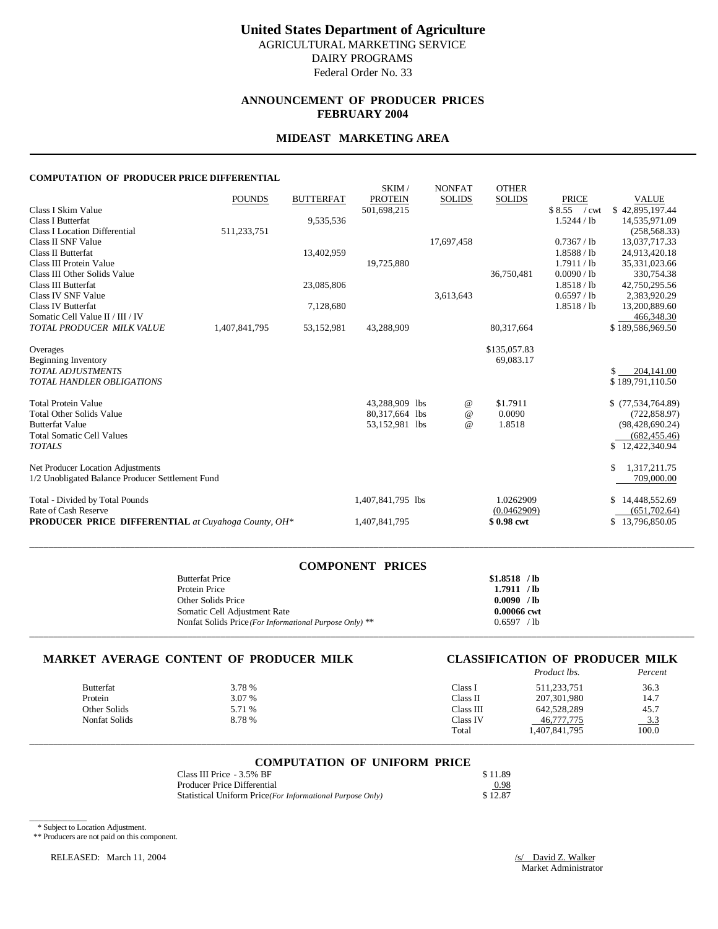# **ANNOUNCEMENT OF PRODUCER PRICES FEBRUARY 2004**

# **MIDEAST MARKETING AREA**

#### **COMPUTATION OF PRODUCER PRICE DIFFERENTIAL**

|                                                            | <b>POUNDS</b> | <b>BUTTERFAT</b> | SKIM/<br><b>PROTEIN</b> | <b>NONFAT</b> | <b>SOLIDS</b> | <b>OTHER</b><br><b>SOLIDS</b> | <b>PRICE</b>                  | <b>VALUE</b>      |
|------------------------------------------------------------|---------------|------------------|-------------------------|---------------|---------------|-------------------------------|-------------------------------|-------------------|
| Class I Skim Value                                         |               |                  | 501,698,215             |               |               |                               | \$8.55<br>$\sqrt{\text{cwt}}$ | \$42,895,197.44   |
| Class I Butterfat                                          |               | 9,535,536        |                         |               |               |                               | 1.5244 / lb                   | 14,535,971.09     |
| <b>Class I Location Differential</b>                       | 511,233,751   |                  |                         |               |               |                               |                               | (258, 568.33)     |
| Class II SNF Value                                         |               |                  |                         | 17,697,458    |               |                               | 0.7367 / lb                   | 13,037,717.33     |
| Class II Butterfat                                         |               | 13,402,959       |                         |               |               |                               | 1.8588 / lb                   | 24,913,420.18     |
| Class III Protein Value                                    |               |                  | 19,725,880              |               |               |                               | 1.7911 / lb                   | 35,331,023.66     |
| Class III Other Solids Value                               |               |                  |                         |               |               | 36,750,481                    | 0.0090 / lb                   | 330,754.38        |
| Class III Butterfat                                        |               | 23,085,806       |                         |               |               |                               | 1.8518 / lb                   | 42,750,295.56     |
| Class IV SNF Value                                         |               |                  |                         | 3,613,643     |               |                               | 0.6597 / lb                   | 2,383,920.29      |
| <b>Class IV Butterfat</b>                                  |               | 7,128,680        |                         |               |               |                               | 1.8518 / lb                   | 13,200,889.60     |
| Somatic Cell Value II / III / IV                           |               |                  |                         |               |               |                               |                               | 466,348.30        |
| TOTAL PRODUCER MILK VALUE                                  | 1,407,841,795 | 53,152,981       | 43,288,909              |               |               | 80,317,664                    |                               | \$189,586,969.50  |
| Overages                                                   |               |                  |                         |               |               | \$135,057.83                  |                               |                   |
| Beginning Inventory                                        |               |                  |                         |               |               | 69,083.17                     |                               |                   |
| <b>TOTAL ADJUSTMENTS</b>                                   |               |                  |                         |               |               |                               |                               | 204,141.00<br>\$  |
| <b>TOTAL HANDLER OBLIGATIONS</b>                           |               |                  |                         |               |               |                               |                               | \$189,791,110.50  |
|                                                            |               |                  |                         |               |               |                               |                               |                   |
| <b>Total Protein Value</b>                                 |               |                  | 43,288,909 lbs          |               | $^{\,a}$      | \$1.7911                      |                               | \$(77,534,764.89) |
| <b>Total Other Solids Value</b>                            |               |                  | 80,317,664 lbs          |               | $\omega$      | 0.0090                        |                               | (722, 858.97)     |
| <b>Butterfat Value</b>                                     |               |                  | 53,152,981 lbs          |               | $\omega$      | 1.8518                        |                               | (98, 428, 690.24) |
| <b>Total Somatic Cell Values</b>                           |               |                  |                         |               |               |                               |                               | (682, 455.46)     |
| <b>TOTALS</b>                                              |               |                  |                         |               |               |                               |                               | \$12,422,340.94   |
|                                                            |               |                  |                         |               |               |                               |                               |                   |
| Net Producer Location Adjustments                          |               |                  |                         |               |               |                               |                               | 1,317,211.75      |
| 1/2 Unobligated Balance Producer Settlement Fund           |               |                  |                         |               |               |                               |                               | 709,000.00        |
| Total - Divided by Total Pounds                            |               |                  | 1,407,841,795 lbs       |               |               | 1.0262909                     |                               | \$14,448,552.69   |
| Rate of Cash Reserve                                       |               |                  |                         |               |               | (0.0462909)                   |                               | (651,702.64)      |
| <b>PRODUCER PRICE DIFFERENTIAL</b> at Cuyahoga County, OH* |               |                  | 1,407,841,795           |               |               | \$0.98 cwt                    |                               | 13,796,850.05     |
|                                                            |               |                  |                         |               |               |                               |                               |                   |

| <b>COMPONENT PRICES</b>                                 |               |
|---------------------------------------------------------|---------------|
| <b>Butterfat Price</b>                                  | $$1.8518$ /lb |
| Protein Price                                           | 1.7911 / lb   |
| Other Solids Price                                      | 0.0090 / lb   |
| Somatic Cell Adjustment Rate                            | 0.00066 cwt   |
| Nonfat Solids Price (For Informational Purpose Only) ** | 0.6597 / lb   |
|                                                         |               |

### **MARKET AVERAGE CONTENT OF PRODUCER MILK CLASSIFICATION OF PRODUCER MILK**

|               |        |           | Product lbs.  | Percent         |
|---------------|--------|-----------|---------------|-----------------|
| Butterfat     | 3.78 % | Class 1   | 511,233,751   | 36.3            |
| Protein       | 3.07 % | Class II  | 207,301,980   | 14.7            |
| Other Solids  | 5.71 % | Class III | 642,528,289   | 45.7            |
| Nonfat Solids | 8.78 % | Class IV  | 46,777,775    | $\frac{3.3}{2}$ |
|               |        | Total     | 1,407,841,795 | 100.0           |

**\_\_\_\_\_\_\_\_\_\_\_\_\_\_\_\_\_\_\_\_\_\_\_\_\_\_\_\_\_\_\_\_\_\_\_\_\_\_\_\_\_\_\_\_\_\_\_\_\_\_\_\_\_\_\_\_\_\_\_\_\_\_\_\_\_\_\_\_\_\_\_\_\_\_\_\_\_\_\_\_\_\_\_\_\_\_\_\_\_\_\_\_\_\_\_\_\_\_\_\_\_\_\_\_\_\_\_\_\_\_\_\_\_\_\_\_\_\_\_\_\_\_\_\_\_\_\_\_\_\_\_\_\_\_\_\_\_\_\_**

# \_\_\_\_\_\_\_\_\_\_\_\_\_\_\_\_\_\_\_\_\_\_\_\_\_\_\_\_\_\_\_\_\_\_\_\_\_\_\_\_\_\_\_\_\_\_\_\_\_\_\_\_\_\_\_\_\_\_\_\_\_\_\_\_\_\_\_\_\_\_\_\_\_\_\_\_\_\_\_\_\_\_\_\_\_\_\_\_\_\_\_\_\_\_\_\_\_\_\_\_\_\_\_\_\_\_\_\_\_\_\_\_\_\_\_\_\_\_\_\_\_\_\_\_\_\_\_\_\_\_\_\_\_\_\_\_\_\_\_ **COMPUTATION OF UNIFORM PRICE**

| Class III Price - 3.5% BF                                 | \$11.89 |
|-----------------------------------------------------------|---------|
| Producer Price Differential                               | 0.98    |
| Statistical Uniform Price(For Informational Purpose Only) | \$12.87 |

\* Subject to Location Adjustment.

\_\_\_\_\_\_\_\_\_\_\_\_

\*\* Producers are not paid on this component.

RELEASED: March 11, 2004 /s/ David Z. Walker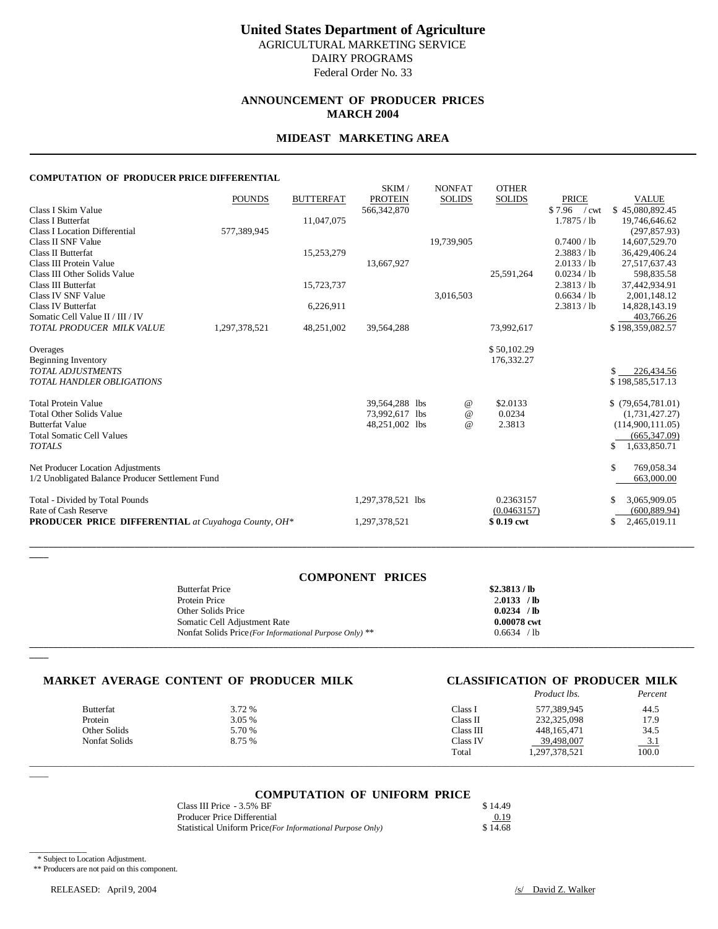# **ANNOUNCEMENT OF PRODUCER PRICES MARCH 2004**

### **MIDEAST MARKETING AREA**

#### **COMPUTATION OF PRODUCER PRICE DIFFERENTIAL**

|                                                            | <b>POUNDS</b> | <b>BUTTERFAT</b> | SKIM/<br><b>PROTEIN</b> | <b>NONFAT</b><br><b>SOLIDS</b> | <b>OTHER</b><br><b>SOLIDS</b> | <b>PRICE</b>  | <b>VALUE</b>        |
|------------------------------------------------------------|---------------|------------------|-------------------------|--------------------------------|-------------------------------|---------------|---------------------|
| Class I Skim Value                                         |               |                  | 566, 342, 870           |                                |                               | $$7.96$ / cwt | \$45,080,892.45     |
| Class I Butterfat                                          |               | 11,047,075       |                         |                                |                               | 1.7875 / lb   | 19,746,646.62       |
| <b>Class I Location Differential</b>                       | 577,389,945   |                  |                         |                                |                               |               | (297, 857.93)       |
| Class II SNF Value                                         |               |                  |                         | 19,739,905                     |                               | 0.7400 / lb   | 14,607,529.70       |
| <b>Class II Butterfat</b>                                  |               | 15,253,279       |                         |                                |                               | 2.3883 / lb   | 36,429,406.24       |
| Class III Protein Value                                    |               |                  | 13,667,927              |                                |                               | 2.0133 / lb   | 27,517,637.43       |
| Class III Other Solids Value                               |               |                  |                         |                                | 25,591,264                    | 0.0234 / lb   | 598,835.58          |
| Class III Butterfat                                        |               | 15,723,737       |                         |                                |                               | 2.3813 / lb   | 37,442,934.91       |
| Class IV SNF Value                                         |               |                  |                         | 3,016,503                      |                               | 0.6634 / lb   | 2,001,148.12        |
| <b>Class IV Butterfat</b>                                  |               | 6,226,911        |                         |                                |                               | 2.3813 / lb   | 14,828,143.19       |
| Somatic Cell Value II / III / IV                           |               |                  |                         |                                |                               |               | 403,766.26          |
| TOTAL PRODUCER MILK VALUE                                  | 1,297,378,521 | 48,251,002       | 39,564,288              |                                | 73,992,617                    |               | \$198,359,082.57    |
| Overages                                                   |               |                  |                         |                                | \$50,102.29                   |               |                     |
| Beginning Inventory                                        |               |                  |                         |                                | 176,332.27                    |               |                     |
| <b>TOTAL ADJUSTMENTS</b>                                   |               |                  |                         |                                |                               |               | \$<br>226,434.56    |
| <b>TOTAL HANDLER OBLIGATIONS</b>                           |               |                  |                         |                                |                               |               | \$198,585,517.13    |
|                                                            |               |                  |                         |                                |                               |               |                     |
| <b>Total Protein Value</b>                                 |               |                  | 39,564,288 lbs          |                                | \$2.0133<br>@                 |               | \$(79,654,781.01)   |
| <b>Total Other Solids Value</b>                            |               |                  | 73,992,617 lbs          |                                | 0.0234<br>$\omega$            |               | (1,731,427.27)      |
| <b>Butterfat Value</b>                                     |               |                  | 48,251,002 lbs          |                                | 2.3813<br>$\omega$            |               | (114,900,111.05)    |
| <b>Total Somatic Cell Values</b>                           |               |                  |                         |                                |                               |               | (665, 347.09)       |
| <b>TOTALS</b>                                              |               |                  |                         |                                |                               |               | 1,633,850.71<br>\$. |
|                                                            |               |                  |                         |                                |                               |               |                     |
| Net Producer Location Adjustments                          |               |                  |                         |                                |                               |               | 769,058.34<br>\$    |
| 1/2 Unobligated Balance Producer Settlement Fund           |               |                  |                         |                                |                               |               | 663,000.00          |
| Total - Divided by Total Pounds                            |               |                  | 1,297,378,521 lbs       |                                | 0.2363157                     |               | 3,065,909.05        |
| Rate of Cash Reserve                                       |               |                  |                         |                                | (0.0463157)                   |               | (600, 889.94)       |
| <b>PRODUCER PRICE DIFFERENTIAL</b> at Cuyahoga County, OH* |               |                  | 1,297,378,521           |                                | \$0.19 cwt                    |               | 2,465,019.11        |
|                                                            |               |                  |                         |                                |                               |               |                     |

#### **COMPONENT PRICES**

**\_\_\_\_\_\_\_\_\_\_\_\_\_\_\_\_\_\_\_\_\_\_\_\_\_\_\_\_\_\_\_\_\_\_\_\_\_\_\_\_\_\_\_\_\_\_\_\_\_\_\_\_\_\_\_\_\_\_\_\_\_\_\_\_\_\_\_\_\_\_\_\_\_\_\_\_\_\_\_\_\_\_\_\_\_\_\_\_\_\_\_\_\_\_\_\_\_\_\_\_\_\_\_\_\_\_\_\_\_\_\_\_\_\_\_\_\_\_\_\_\_\_\_\_\_\_\_\_\_\_\_\_\_\_\_\_\_\_\_**

| <b>Butterfat Price</b>                                  | \$2.3813/lb |
|---------------------------------------------------------|-------------|
| Protein Price                                           | 2.0133 / lb |
| Other Solids Price                                      | 0.0234 / lb |
| Somatic Cell Adjustment Rate                            | 0.00078 cwt |
| Nonfat Solids Price (For Informational Purpose Only) ** | 0.6634 / lb |
|                                                         |             |

# **MARKET AVERAGE CONTENT OF PRODUCER MILK CLASSIFICATION OF PRODUCER MILK**

|                  |        |           | <i>Product lbs.</i> | Percent |
|------------------|--------|-----------|---------------------|---------|
| <b>Butterfat</b> | 3.72 % | Class l   | 577.389.945         | 44.5    |
| Protein          | 3.05 % | Class II  | 232,325,098         | 17.9    |
| Other Solids     | 5.70 % | Class III | 448.165.471         | 34.5    |
| Nonfat Solids    | 8.75 % | Class IV  | 39,498,007          | 3.1     |
|                  |        | Total     | 1,297,378,521       | 100.0   |

#### **COMPUTATION OF UNIFORM PRICE**

\_\_\_\_\_\_\_\_\_\_\_\_\_\_\_\_\_\_\_\_\_\_\_\_\_\_\_\_\_\_\_\_\_\_\_\_\_\_\_\_\_\_\_\_\_\_\_\_\_\_\_\_\_\_\_\_\_\_\_\_\_\_\_\_\_\_\_\_\_\_\_\_\_\_\_\_\_\_\_\_\_\_\_\_\_\_\_\_\_\_\_\_\_\_\_\_\_\_\_\_\_\_\_\_\_\_\_\_\_\_\_\_\_\_\_\_\_\_\_\_\_\_\_\_\_\_\_\_\_\_\_\_\_\_\_\_\_\_\_

| Class III Price - 3.5% BF                                  | \$14.49 |
|------------------------------------------------------------|---------|
| Producer Price Differential                                | 0.19    |
| Statistical Uniform Price (For Informational Purpose Only) | \$14.68 |

\_\_\_\_\_\_\_\_\_\_\_\_ \* Subject to Location Adjustment.

**\_\_\_\_**

**\_\_\_\_**

 $\overline{\phantom{a}}$ 

\*\* Producers are not paid on this component.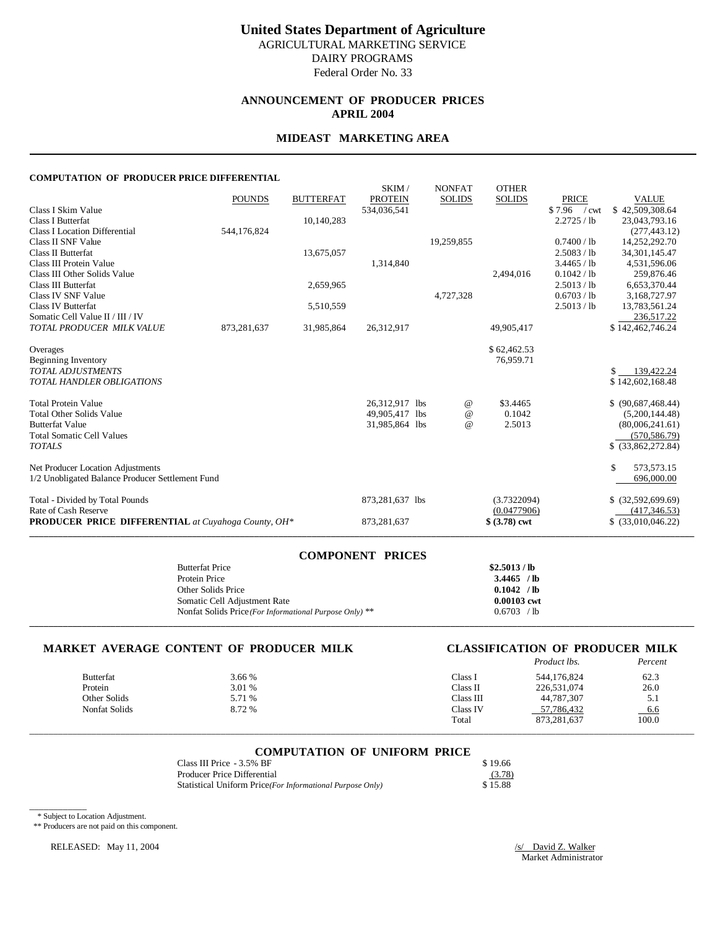# **ANNOUNCEMENT OF PRODUCER PRICES APRIL 2004**

### **MIDEAST MARKETING AREA**

#### **COMPUTATION OF PRODUCER PRICE DIFFERENTIAL**

|                                                            |               |                  | SKIM/           | <b>NONFAT</b> | <b>OTHER</b>   |                               |                     |
|------------------------------------------------------------|---------------|------------------|-----------------|---------------|----------------|-------------------------------|---------------------|
|                                                            | <b>POUNDS</b> | <b>BUTTERFAT</b> | <b>PROTEIN</b>  | <b>SOLIDS</b> | <b>SOLIDS</b>  | <b>PRICE</b>                  | <b>VALUE</b>        |
| Class I Skim Value                                         |               |                  | 534,036,541     |               |                | \$7.96<br>$\sqrt{\text{cwt}}$ | \$42,509,308.64     |
| Class I Butterfat                                          |               | 10,140,283       |                 |               |                | 2.2725 / lb                   | 23,043,793.16       |
| <b>Class I Location Differential</b>                       | 544,176,824   |                  |                 |               |                |                               | (277, 443.12)       |
| Class II SNF Value                                         |               |                  |                 | 19,259,855    |                | 0.7400 / lb                   | 14,252,292.70       |
| Class II Butterfat                                         |               | 13,675,057       |                 |               |                | 2.5083 / lb                   | 34, 301, 145. 47    |
| Class III Protein Value                                    |               |                  | 1,314,840       |               |                | 3.4465 / lb                   | 4,531,596.06        |
| Class III Other Solids Value                               |               |                  |                 |               | 2,494,016      | 0.1042 / lb                   | 259,876.46          |
| Class III Butterfat                                        |               | 2,659,965        |                 |               |                | 2.5013 / lb                   | 6,653,370.44        |
| Class IV SNF Value                                         |               |                  |                 | 4,727,328     |                | 0.6703 / lb                   | 3,168,727.97        |
| Class IV Butterfat                                         |               | 5,510,559        |                 |               |                | 2.5013 / lb                   | 13,783,561.24       |
| Somatic Cell Value II / III / IV                           |               |                  |                 |               |                |                               | 236,517.22          |
| TOTAL PRODUCER MILK VALUE                                  | 873,281,637   | 31,985,864       | 26,312,917      |               | 49,905,417     |                               | \$142,462,746.24    |
| Overages                                                   |               |                  |                 |               | \$62,462.53    |                               |                     |
| Beginning Inventory                                        |               |                  |                 |               | 76,959.71      |                               |                     |
| <b>TOTAL ADJUSTMENTS</b>                                   |               |                  |                 |               |                |                               | $$ -139,422.24$     |
| <b>TOTAL HANDLER OBLIGATIONS</b>                           |               |                  |                 |               |                |                               | \$142,602,168.48    |
|                                                            |               |                  |                 |               |                |                               |                     |
| <b>Total Protein Value</b>                                 |               |                  | 26,312,917 lbs  | @             | \$3.4465       |                               | \$ (90,687,468.44)  |
| <b>Total Other Solids Value</b>                            |               |                  | 49,905,417 lbs  | $\omega$      | 0.1042         |                               | (5,200,144.48)      |
| <b>Butterfat Value</b>                                     |               |                  | 31,985,864 lbs  | $\omega$      | 2.5013         |                               | (80,006,241.61)     |
| <b>Total Somatic Cell Values</b>                           |               |                  |                 |               |                |                               | (570, 586, 79)      |
| <b>TOTALS</b>                                              |               |                  |                 |               |                |                               | $$$ (33,862,272.84) |
| Net Producer Location Adjustments                          |               |                  |                 |               |                |                               | \$.<br>573,573.15   |
| 1/2 Unobligated Balance Producer Settlement Fund           |               |                  |                 |               |                |                               | 696,000.00          |
| Total - Divided by Total Pounds                            |               |                  | 873,281,637 lbs |               | (3.7322094)    |                               | $$$ (32,592,699.69) |
| Rate of Cash Reserve                                       |               |                  |                 |               | (0.0477906)    |                               | (417, 346.53)       |
| <b>PRODUCER PRICE DIFFERENTIAL</b> at Cuyahoga County, OH* |               |                  | 873,281,637     |               | $$ (3.78)$ cwt |                               | $$$ (33,010,046.22) |

| <b>COMPONENT PRICES</b>                                 |               |
|---------------------------------------------------------|---------------|
| <b>Butterfat Price</b>                                  | \$2.5013/lb   |
| Protein Price                                           | $3.4465$ /lb  |
| Other Solids Price                                      | $0.1042$ /lb  |
| Somatic Cell Adjustment Rate                            | $0.00103$ cwt |
| Nonfat Solids Price (For Informational Purpose Only) ** | 0.6703 / h    |

**\_\_\_\_\_\_\_\_\_\_\_\_\_\_\_\_\_\_\_\_\_\_\_\_\_\_\_\_\_\_\_\_\_\_\_\_\_\_\_\_\_\_\_\_\_\_\_\_\_\_\_\_\_\_\_\_\_\_\_\_\_\_\_\_\_\_\_\_\_\_\_\_\_\_\_\_\_\_\_\_\_\_\_\_\_\_\_\_\_\_\_\_\_\_\_\_\_\_\_\_\_\_\_\_\_\_\_\_\_\_\_\_\_\_\_\_\_\_\_\_\_\_\_\_\_\_\_\_\_\_\_\_\_\_\_\_\_\_\_**

# **MARKET AVERAGE CONTENT OF PRODUCER MILK CLASSIFICATION OF PRODUCER MILK**

|               |        |           | <i>Product lbs.</i> | Percent |
|---------------|--------|-----------|---------------------|---------|
| Butterfat     | 3.66 % | Class 1   | 544.176.824         | 62.3    |
| Protein       | 3.01 % | Class II  | 226,531,074         | 26.0    |
| Other Solids  | 5.71 % | Class III | 44.787.307          | 5.1     |
| Nonfat Solids | 8.72 % | Class IV  | 57,786,432          | 6.6     |
|               |        | Total     | 873,281,637         | 100.0   |

# \_\_\_\_\_\_\_\_\_\_\_\_\_\_\_\_\_\_\_\_\_\_\_\_\_\_\_\_\_\_\_\_\_\_\_\_\_\_\_\_\_\_\_\_\_\_\_\_\_\_\_\_\_\_\_\_\_\_\_\_\_\_\_\_\_\_\_\_\_\_\_\_\_\_\_\_\_\_\_\_\_\_\_\_\_\_\_\_\_\_\_\_\_\_\_\_\_\_\_\_\_\_\_\_\_\_\_\_\_\_\_\_\_\_\_\_\_\_\_\_\_\_\_\_\_\_\_\_\_\_\_\_\_\_\_\_\_\_\_ **COMPUTATION OF UNIFORM PRICE**

| Class III Price - 3.5% BF                                  | \$19.66 |
|------------------------------------------------------------|---------|
| Producer Price Differential                                | (3.78)  |
| Statistical Uniform Price (For Informational Purpose Only) | \$15.88 |

\_\_\_\_\_\_\_\_\_\_\_\_ \* Subject to Location Adjustment.

\*\* Producers are not paid on this component.

RELEASED: May 11, 2004 */s/ David Z. Walker*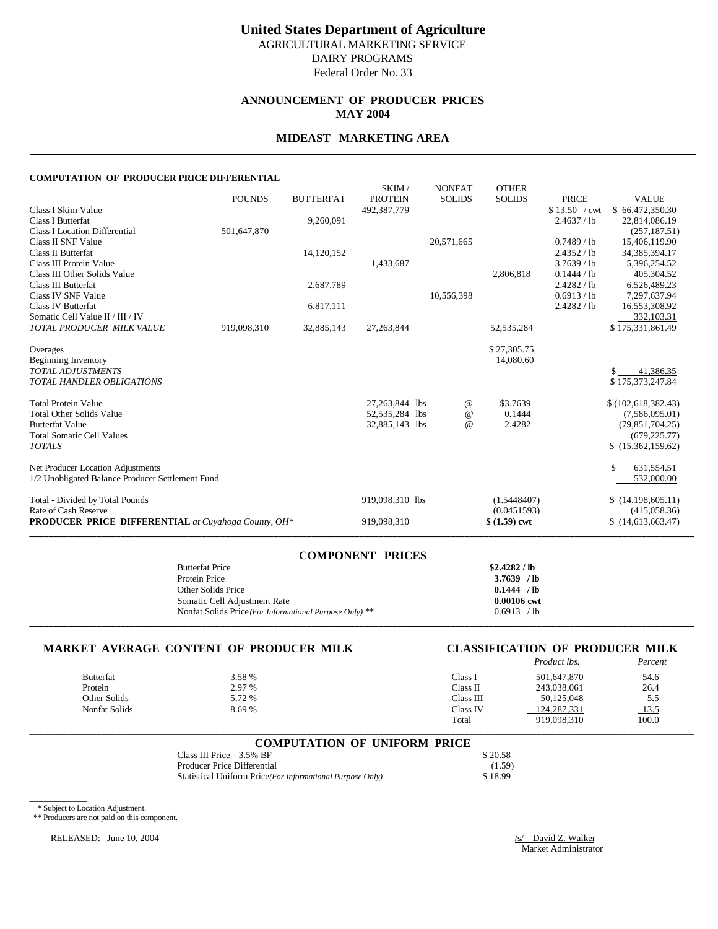# **United States Department of Agriculture** AGRICULTURAL MARKETING SERVICE

DAIRY PROGRAMS Federal Order No. 33

# **ANNOUNCEMENT OF PRODUCER PRICES MAY 2004**

### **MIDEAST MARKETING AREA**

#### **COMPUTATION OF PRODUCER PRICE DIFFERENTIAL**

| 1.1110.0 OF TRODUCERTRICE DIFF                             |               |                  |                               |                 |                |                               |                                 |
|------------------------------------------------------------|---------------|------------------|-------------------------------|-----------------|----------------|-------------------------------|---------------------------------|
|                                                            |               |                  | SKIM/                         | <b>NONFAT</b>   | <b>OTHER</b>   |                               |                                 |
| Class I Skim Value                                         | <b>POUNDS</b> | <b>BUTTERFAT</b> | <b>PROTEIN</b><br>492,387,779 | <b>SOLIDS</b>   | <b>SOLIDS</b>  | <b>PRICE</b><br>\$13.50 / cwt | <b>VALUE</b><br>\$66,472,350.30 |
| Class I Butterfat                                          |               | 9,260,091        |                               |                 |                | 2.4637 / lb                   | 22,814,086.19                   |
| Class I Location Differential                              | 501,647,870   |                  |                               |                 |                |                               | (257, 187.51)                   |
| Class II SNF Value                                         |               |                  |                               | 20,571,665      |                | $0.7489$ / lb                 | 15,406,119.90                   |
| Class II Butterfat                                         |               | 14,120,152       |                               |                 |                | 2.4352 / lb                   | 34, 385, 394. 17                |
| Class III Protein Value                                    |               |                  | 1,433,687                     |                 |                | 3.7639 / lb                   | 5,396,254.52                    |
| Class III Other Solids Value                               |               |                  |                               |                 | 2,806,818      | 0.1444 / lb                   | 405,304.52                      |
| Class III Butterfat                                        |               | 2,687,789        |                               |                 |                | 2.4282 / lb                   | 6,526,489.23                    |
| Class IV SNF Value                                         |               |                  |                               | 10,556,398      |                | 0.6913 / lb                   | 7,297,637.94                    |
| Class IV Butterfat                                         |               | 6,817,111        |                               |                 |                | 2.4282 / lb                   | 16,553,308.92                   |
| Somatic Cell Value II / III / IV                           |               |                  |                               |                 |                |                               | 332,103.31                      |
| TOTAL PRODUCER MILK VALUE                                  | 919,098,310   | 32,885,143       | 27, 263, 844                  |                 | 52, 535, 284   |                               | \$175,331,861.49                |
| Overages                                                   |               |                  |                               |                 | \$27,305.75    |                               |                                 |
| <b>Beginning Inventory</b>                                 |               |                  |                               |                 | 14,080.60      |                               |                                 |
| <b>TOTAL ADJUSTMENTS</b>                                   |               |                  |                               |                 |                |                               | 41,386.35                       |
| <b>TOTAL HANDLER OBLIGATIONS</b>                           |               |                  |                               |                 |                |                               | \$175,373,247.84                |
| <b>Total Protein Value</b>                                 |               |                  | 27,263,844 lbs                | $^{\copyright}$ | \$3.7639       |                               | \$(102,618,382.43)              |
| <b>Total Other Solids Value</b>                            |               |                  | 52,535,284 lbs                | $\omega$        | 0.1444         |                               | (7,586,095.01)                  |
| <b>Butterfat Value</b>                                     |               |                  | 32,885,143 lbs                | $\omega$        | 2.4282         |                               | (79,851,704.25)                 |
| <b>Total Somatic Cell Values</b>                           |               |                  |                               |                 |                |                               | (679, 225.77)                   |
| <b>TOTALS</b>                                              |               |                  |                               |                 |                |                               | \$(15,362,159.62)               |
| Net Producer Location Adjustments                          |               |                  |                               |                 |                |                               | \$.<br>631,554.51               |
| 1/2 Unobligated Balance Producer Settlement Fund           |               |                  |                               |                 |                |                               | 532,000.00                      |
| Total - Divided by Total Pounds                            |               |                  | 919,098,310 lbs               |                 | (1.5448407)    |                               | \$(14,198,605.11)               |
| Rate of Cash Reserve                                       |               |                  |                               |                 | (0.0451593)    |                               | (415,058,36)                    |
| <b>PRODUCER PRICE DIFFERENTIAL</b> at Cuyahoga County, OH* |               |                  | 919,098,310                   |                 | $$ (1.59)$ cwt |                               | \$(14,613,663,47)               |
|                                                            |               |                  |                               |                 |                |                               |                                 |

| <b>COMPONENT PRICES</b>                                 |               |
|---------------------------------------------------------|---------------|
| <b>Butterfat Price</b>                                  | \$2.4282 / lb |
| Protein Price                                           | $3.7639$ /lb  |
| Other Solids Price                                      | 0.1444 / lb   |
| Somatic Cell Adjustment Rate                            | 0.00106 cwt   |
| Nonfat Solids Price (For Informational Purpose Only) ** | 0.6913 / lb   |
|                                                         |               |

# **MARKET AVERAGE CONTENT OF PRODUCER MILK CLASSIFICATION OF PRODUCER MILK**

|               |        |           | Product lbs.  | Percent     |
|---------------|--------|-----------|---------------|-------------|
| Butterfat     | 3.58 % | Class I   | 501,647,870   | 54.6        |
| Protein       | 2.97 % | Class II  | 243,038,061   | 26.4        |
| Other Solids  | 5.72 % | Class III | 50.125,048    | 5.5         |
| Nonfat Solids | 8.69%  | Class IV  | 124, 287, 331 | <u>13.5</u> |
|               |        | Total     | 919.098.310   | 100.0       |

\_\_\_\_\_\_\_\_\_\_\_\_\_\_\_\_\_\_\_\_\_\_\_\_\_\_\_\_\_\_\_\_\_\_\_\_\_\_\_\_\_\_\_\_\_\_\_\_\_\_\_\_\_\_\_\_\_\_\_\_\_\_\_\_\_\_\_\_\_\_\_\_\_\_\_\_\_\_\_\_\_\_\_\_\_\_\_\_\_\_\_\_\_\_\_\_\_\_\_\_\_\_\_\_\_\_\_\_\_\_\_\_\_\_\_\_\_\_\_\_\_\_\_\_\_\_\_\_\_\_\_\_\_\_\_\_\_\_\_

| <b>COMPUTATION OF UNIFORM PRICE</b>                        |         |
|------------------------------------------------------------|---------|
| Class III Price - 3.5% BF                                  | \$20.58 |
| Producer Price Differential                                | (1.59)  |
| Statistical Uniform Price (For Informational Purpose Only) | \$18.99 |

\* Subject to Location Adjustment.

\_\_\_\_\_\_\_\_\_\_\_\_

\*\* Producers are not paid on this component.

RELEASED: June 10, 2004 */s/* David Z. Walker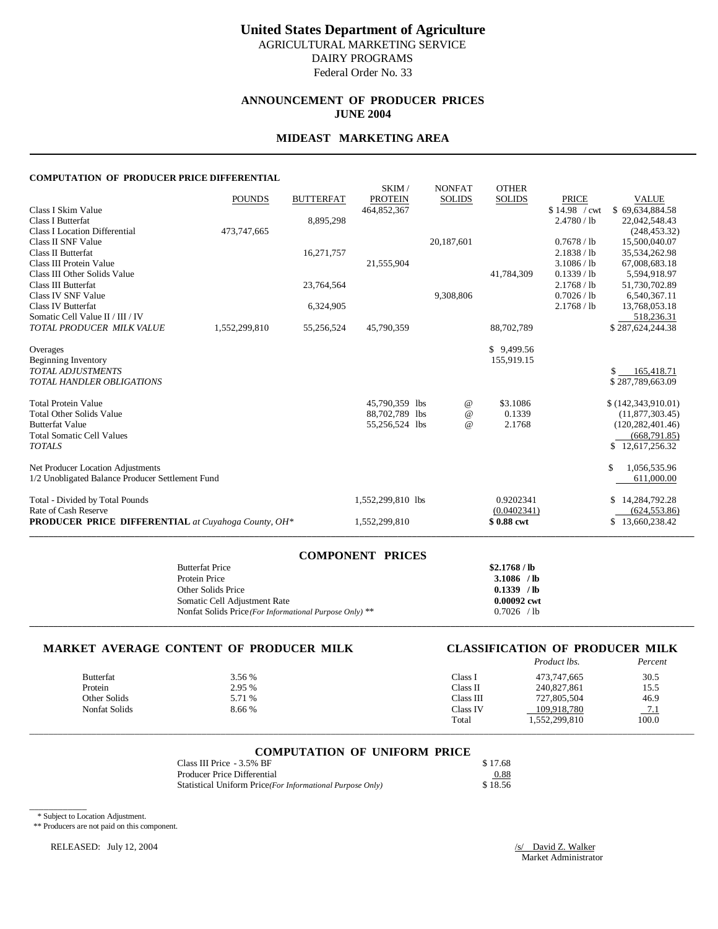# **ANNOUNCEMENT OF PRODUCER PRICES JUNE 2004**

### **MIDEAST MARKETING AREA**

#### **COMPUTATION OF PRODUCER PRICE DIFFERENTIAL**

|                                                            | <b>POUNDS</b> | <b>BUTTERFAT</b> | SKIM/<br><b>PROTEIN</b> | <b>NONFAT</b><br><b>SOLIDS</b> | <b>OTHER</b><br><b>SOLIDS</b> | <b>PRICE</b>  | <b>VALUE</b>               |
|------------------------------------------------------------|---------------|------------------|-------------------------|--------------------------------|-------------------------------|---------------|----------------------------|
| Class I Skim Value                                         |               |                  | 464,852,367             |                                |                               | \$14.98 / cwt | \$69.634.884.58            |
| Class I Butterfat                                          |               | 8,895,298        |                         |                                |                               | 2.4780 / lb   | 22,042,548.43              |
| Class I Location Differential                              | 473,747,665   |                  |                         |                                |                               |               | (248, 453.32)              |
| Class II SNF Value                                         |               |                  |                         | 20,187,601                     |                               | 0.7678 / lb   | 15,500,040.07              |
| Class II Butterfat                                         |               | 16,271,757       |                         |                                |                               | 2.1838 / lb   | 35,534,262.98              |
| Class III Protein Value                                    |               |                  | 21,555,904              |                                |                               | 3.1086 / lb   | 67,008,683.18              |
| Class III Other Solids Value                               |               |                  |                         |                                | 41,784,309                    | 0.1339 / lb   | 5,594,918.97               |
| <b>Class III Butterfat</b>                                 |               | 23,764,564       |                         |                                |                               | 2.1768 / lb   | 51,730,702.89              |
| Class IV SNF Value                                         |               |                  |                         | 9,308,806                      |                               | 0.7026 / lb   | 6,540,367.11               |
| Class IV Butterfat                                         |               | 6,324,905        |                         |                                |                               | 2.1768 / lb   | 13,768,053.18              |
| Somatic Cell Value II / III / IV                           |               |                  |                         |                                |                               |               | 518,236.31                 |
| TOTAL PRODUCER MILK VALUE                                  | 1,552,299,810 | 55,256,524       | 45,790,359              |                                | 88,702,789                    |               | \$287,624,244.38           |
| Overages                                                   |               |                  |                         |                                | \$9,499.56                    |               |                            |
| <b>Beginning Inventory</b>                                 |               |                  |                         |                                | 155,919.15                    |               |                            |
| <b>TOTAL ADJUSTMENTS</b>                                   |               |                  |                         |                                |                               |               | 165,418.71<br>$\mathbf{s}$ |
| <b>TOTAL HANDLER OBLIGATIONS</b>                           |               |                  |                         |                                |                               |               | \$287,789,663.09           |
| <b>Total Protein Value</b>                                 |               |                  | 45,790,359 lbs          | $^{\copyright}$                | \$3.1086                      |               | \$(142,343,910.01)         |
| <b>Total Other Solids Value</b>                            |               |                  | 88,702,789 lbs          | $\omega$                       | 0.1339                        |               | (11,877,303.45)            |
| <b>Butterfat Value</b>                                     |               |                  | 55,256,524 lbs          | $\omega$                       | 2.1768                        |               | (120, 282, 401, 46)        |
| <b>Total Somatic Cell Values</b>                           |               |                  |                         |                                |                               |               | (668, 791.85)              |
| <b>TOTALS</b>                                              |               |                  |                         |                                |                               |               | \$12,617,256.32            |
| Net Producer Location Adjustments                          |               |                  |                         |                                |                               |               | \$<br>1,056,535.96         |
| 1/2 Unobligated Balance Producer Settlement Fund           |               |                  |                         |                                |                               |               | 611,000.00                 |
| Total - Divided by Total Pounds                            |               |                  | 1,552,299,810 lbs       |                                | 0.9202341                     |               | 14,284,792.28<br>S         |
| Rate of Cash Reserve                                       |               |                  |                         |                                | (0.0402341)                   |               | (624, 553.86)              |
| <b>PRODUCER PRICE DIFFERENTIAL</b> at Cuyahoga County, OH* |               |                  | 1,552,299,810           |                                | \$0.88 cwt                    |               | 13,660,238.42<br>S.        |
|                                                            |               |                  |                         |                                |                               |               |                            |

| COMPONENT PRICES                                        |              |
|---------------------------------------------------------|--------------|
| <b>Butterfat Price</b>                                  | \$2.1768/lb  |
| Protein Price                                           | $3.1086$ /lb |
| Other Solids Price                                      | $0.1339$ /lb |
| Somatic Cell Adjustment Rate                            | 0.00092 cwt  |
| Nonfat Solids Price (For Informational Purpose Only) ** | $0.7026$ /lb |
|                                                         |              |

**COMPONENT PRICES**

# **MARKET AVERAGE CONTENT OF PRODUCER MILK CLASSIFICATION OF PRODUCER MILK**

|               |        |                    | Product lbs.  | Percent |
|---------------|--------|--------------------|---------------|---------|
| Butterfat     | 3.56 % | Class <sub>1</sub> | 473,747,665   | 30.5    |
| Protein       | 2.95 % | Class II           | 240,827,861   | 15.5    |
| Other Solids  | 5.71 % | Class III          | 727,805,504   | 46.9    |
| Nonfat Solids | 8.66 % | Class IV           | 109.918.780   | 7.1     |
|               |        | Total              | 1,552,299,810 | 100.0   |

# \_\_\_\_\_\_\_\_\_\_\_\_\_\_\_\_\_\_\_\_\_\_\_\_\_\_\_\_\_\_\_\_\_\_\_\_\_\_\_\_\_\_\_\_\_\_\_\_\_\_\_\_\_\_\_\_\_\_\_\_\_\_\_\_\_\_\_\_\_\_\_\_\_\_\_\_\_\_\_\_\_\_\_\_\_\_\_\_\_\_\_\_\_\_\_\_\_\_\_\_\_\_\_\_\_\_\_\_\_\_\_\_\_\_\_\_\_\_\_\_\_\_\_\_\_\_\_\_\_\_\_\_\_\_\_\_\_\_\_ **COMPUTATION OF UNIFORM PRICE**

| Class III Price - 3.5% BF                                  | \$17.68                             |
|------------------------------------------------------------|-------------------------------------|
| Producer Price Differential                                | 0.88<br>$\sim$ $\sim$ $\sim$ $\sim$ |
| Statistical Uniform Price (For Informational Purpose Only) | \$18.56                             |

\_\_\_\_\_\_\_\_\_\_\_\_ \* Subject to Location Adjustment.

\*\* Producers are not paid on this component.

RELEASED: July 12, 2004 /s/ David Z. Walker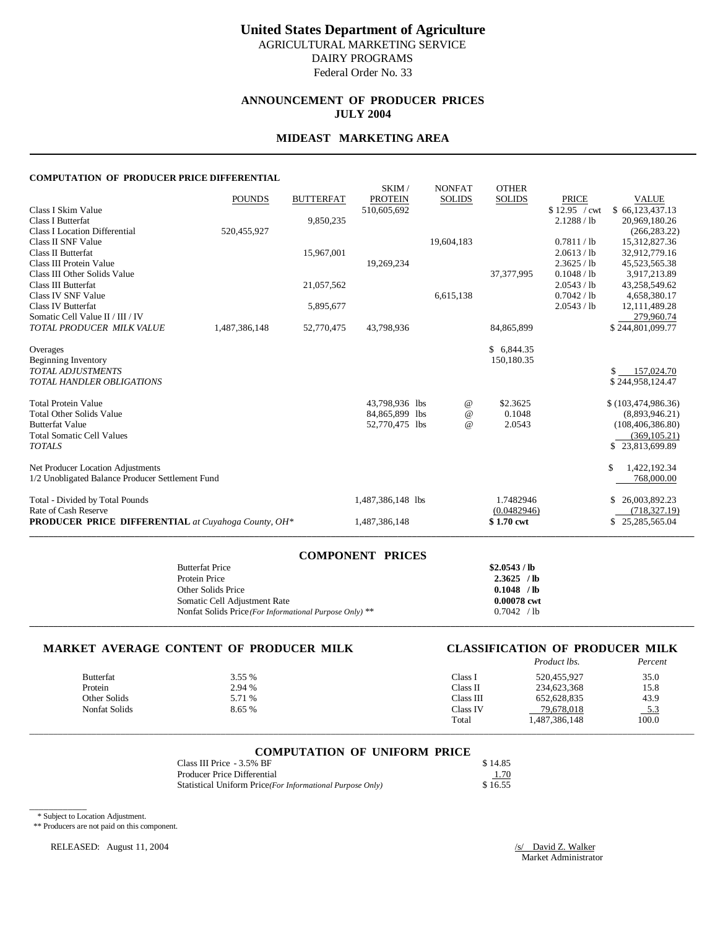**ANNOUNCEMENT OF PRODUCER PRICES JULY 2004**

### **MIDEAST MARKETING AREA**

#### **COMPUTATION OF PRODUCER PRICE DIFFERENTIAL**

|                                                            |               |                  | SKIM/             | <b>NONFAT</b> | <b>OTHER</b>  |               |                      |
|------------------------------------------------------------|---------------|------------------|-------------------|---------------|---------------|---------------|----------------------|
|                                                            | <b>POUNDS</b> | <b>BUTTERFAT</b> | <b>PROTEIN</b>    | <b>SOLIDS</b> | <b>SOLIDS</b> | <b>PRICE</b>  | <b>VALUE</b>         |
| Class I Skim Value                                         |               |                  | 510,605,692       |               |               | \$12.95 / cwt | \$66,123,437.13      |
| Class I Butterfat                                          |               | 9,850,235        |                   |               |               | 2.1288 / lb   | 20,969,180.26        |
| <b>Class I Location Differential</b>                       | 520,455,927   |                  |                   |               |               |               | (266, 283.22)        |
| Class II SNF Value                                         |               |                  |                   | 19,604,183    |               | 0.7811 / lb   | 15,312,827.36        |
| Class II Butterfat                                         |               | 15,967,001       |                   |               |               | 2.0613 / lb   | 32.912.779.16        |
| Class III Protein Value                                    |               |                  | 19,269,234        |               |               | 2.3625 / lb   | 45,523,565.38        |
| Class III Other Solids Value                               |               |                  |                   |               | 37, 377, 995  | 0.1048 / lb   | 3,917,213.89         |
| Class III Butterfat                                        |               | 21,057,562       |                   |               |               | 2.0543 / lb   | 43,258,549.62        |
| Class IV SNF Value                                         |               |                  |                   | 6,615,138     |               | 0.7042 / lb   | 4,658,380.17         |
| Class IV Butterfat                                         |               | 5,895,677        |                   |               |               | 2.0543 / lb   | 12, 111, 489. 28     |
| Somatic Cell Value II / III / IV                           |               |                  |                   |               |               |               | 279,960.74           |
| TOTAL PRODUCER MILK VALUE                                  | 1,487,386,148 | 52,770,475       | 43,798,936        |               | 84,865,899    |               | \$244,801,099.77     |
|                                                            |               |                  |                   |               |               |               |                      |
| Overages                                                   |               |                  |                   |               | \$6,844.35    |               |                      |
| Beginning Inventory                                        |               |                  |                   |               | 150,180.35    |               |                      |
| <b>TOTAL ADJUSTMENTS</b>                                   |               |                  |                   |               |               |               | \$157,024.70         |
| <b>TOTAL HANDLER OBLIGATIONS</b>                           |               |                  |                   |               |               |               | \$244,958,124.47     |
| <b>Total Protein Value</b>                                 |               |                  | 43,798,936 lbs    | @             | \$2.3625      |               | \$(103, 474, 986.36) |
| <b>Total Other Solids Value</b>                            |               |                  | 84,865,899 lbs    | $\omega$      | 0.1048        |               | (8,893,946.21)       |
| <b>Butterfat Value</b>                                     |               |                  | 52,770,475 lbs    | $\omega$      | 2.0543        |               | (108, 406, 386.80)   |
| <b>Total Somatic Cell Values</b>                           |               |                  |                   |               |               |               | (369, 105.21)        |
| <b>TOTALS</b>                                              |               |                  |                   |               |               |               | \$23,813,699.89      |
|                                                            |               |                  |                   |               |               |               |                      |
| Net Producer Location Adjustments                          |               |                  |                   |               |               |               | \$<br>1,422,192.34   |
| 1/2 Unobligated Balance Producer Settlement Fund           |               |                  |                   |               |               |               | 768,000.00           |
| Total - Divided by Total Pounds                            |               |                  | 1,487,386,148 lbs |               | 1.7482946     |               | 26,003,892.23        |
| Rate of Cash Reserve                                       |               |                  |                   |               | (0.0482946)   |               | (718, 327.19)        |
| <b>PRODUCER PRICE DIFFERENTIAL</b> at Cuyahoga County, OH* |               |                  | 1,487,386,148     |               | \$1.70 cwt    |               | \$25,285,565.04      |

| COMPONENT PRICES                                        |               |
|---------------------------------------------------------|---------------|
| <b>Butterfat Price</b>                                  | \$2.0543 / lb |
| Protein Price                                           | $2.3625$ /lb  |
| Other Solids Price                                      | $0.1048$ /lb  |
| Somatic Cell Adjustment Rate                            | 0.00078 cwt   |
| Nonfat Solids Price (For Informational Purpose Only) ** | 0.7042 / h    |
|                                                         |               |

**COMPONENT PRICES**

# **MARKET AVERAGE CONTENT OF PRODUCER MILK CLASSIFICATION OF PRODUCER MILK**

|                  |        |           | Product lbs.  | Percent    |
|------------------|--------|-----------|---------------|------------|
| <b>Butterfat</b> | 3.55 % | Class I   | 520,455,927   | 35.0       |
| Protein          | 2.94 % | Class II  | 234,623,368   | 15.8       |
| Other Solids     | 5.71 % | Class III | 652.628.835   | 43.9       |
| Nonfat Solids    | 8.65 % | Class IV  | 79.678.018    | <u>5.3</u> |
|                  |        | Total     | 1,487,386,148 | 100.0      |

# \_\_\_\_\_\_\_\_\_\_\_\_\_\_\_\_\_\_\_\_\_\_\_\_\_\_\_\_\_\_\_\_\_\_\_\_\_\_\_\_\_\_\_\_\_\_\_\_\_\_\_\_\_\_\_\_\_\_\_\_\_\_\_\_\_\_\_\_\_\_\_\_\_\_\_\_\_\_\_\_\_\_\_\_\_\_\_\_\_\_\_\_\_\_\_\_\_\_\_\_\_\_\_\_\_\_\_\_\_\_\_\_\_\_\_\_\_\_\_\_\_\_\_\_\_\_\_\_\_\_\_\_\_\_\_\_\_\_\_ **COMPUTATION OF UNIFORM PRICE**

| Class III Price - 3.5% BF                                  | \$14.85 |
|------------------------------------------------------------|---------|
| Producer Price Differential                                | 1.70    |
| Statistical Uniform Price (For Informational Purpose Only) | \$16.55 |

\* Subject to Location Adjustment.

\_\_\_\_\_\_\_\_\_\_\_\_

\*\* Producers are not paid on this component.

RELEASED: August 11, 2004 */s/ David Z. Walker*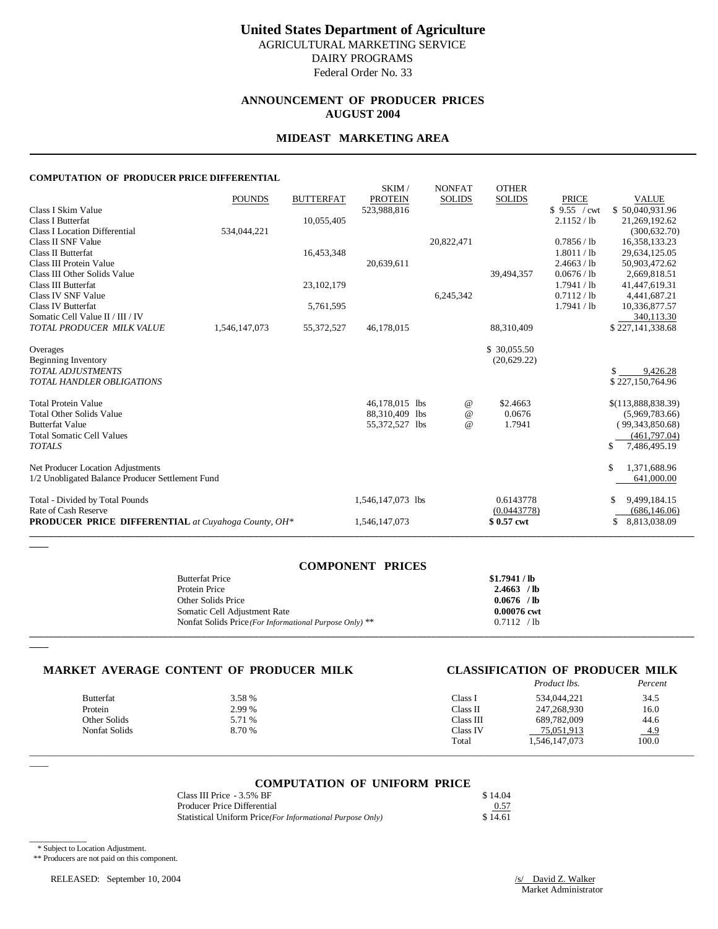# **ANNOUNCEMENT OF PRODUCER PRICES AUGUST 2004**

# **MIDEAST MARKETING AREA**

#### **COMPUTATION OF PRODUCER PRICE DIFFERENTIAL**

|                                                            | <b>POUNDS</b> | <b>BUTTERFAT</b> | SKIM/<br><b>PROTEIN</b> | <b>NONFAT</b><br><b>SOLIDS</b> | <b>OTHER</b><br><b>SOLIDS</b> | <b>PRICE</b> | <b>VALUE</b>                    |
|------------------------------------------------------------|---------------|------------------|-------------------------|--------------------------------|-------------------------------|--------------|---------------------------------|
| Class I Skim Value                                         |               |                  | 523,988,816             |                                |                               | \$9.55 / cwt | \$50,040,931.96                 |
| Class I Butterfat                                          |               | 10,055,405       |                         |                                |                               | 2.1152 / lb  | 21,269,192.62                   |
| Class I Location Differential                              | 534,044,221   |                  |                         |                                |                               |              | (300, 632, 70)                  |
| Class II SNF Value                                         |               |                  |                         | 20,822,471                     |                               | 0.7856 / lb  | 16,358,133.23                   |
| Class II Butterfat                                         |               | 16,453,348       |                         |                                |                               | 1.8011 / lb  | 29,634,125.05                   |
| Class III Protein Value                                    |               |                  | 20,639,611              |                                |                               | 2.4663 / lb  | 50,903,472.62                   |
| Class III Other Solids Value                               |               |                  |                         |                                | 39,494,357                    | 0.0676 / lb  | 2,669,818.51                    |
| Class III Butterfat                                        |               | 23,102,179       |                         |                                |                               | 1.7941 / lb  | 41,447,619.31                   |
| Class IV SNF Value                                         |               |                  |                         | 6,245,342                      |                               | 0.7112 / lb  | 4,441,687.21                    |
| Class IV Butterfat                                         |               | 5,761,595        |                         |                                |                               | 1.7941 / lb  | 10,336,877.57                   |
| Somatic Cell Value II / III / IV                           |               |                  |                         |                                |                               |              | 340,113.30                      |
| TOTAL PRODUCER MILK VALUE                                  | 1,546,147,073 | 55,372,527       | 46,178,015              |                                | 88,310,409                    |              | \$227,141,338.68                |
| Overages                                                   |               |                  |                         |                                | \$30,055.50                   |              |                                 |
| <b>Beginning Inventory</b>                                 |               |                  |                         |                                | (20, 629.22)                  |              |                                 |
| <b>TOTAL ADJUSTMENTS</b>                                   |               |                  |                         |                                |                               |              | 9,426.28                        |
| <b>TOTAL HANDLER OBLIGATIONS</b>                           |               |                  |                         |                                |                               |              | \$227,150,764.96                |
|                                                            |               |                  |                         |                                |                               |              |                                 |
| <b>Total Protein Value</b>                                 |               |                  | 46,178,015 lbs          | $^{\copyright}$                | \$2.4663                      |              | $$$ (113,888,838.39)            |
| <b>Total Other Solids Value</b>                            |               |                  | 88,310,409 lbs          | $\omega$                       | 0.0676                        |              | (5,969,783.66)                  |
| <b>Butterfat Value</b><br><b>Total Somatic Cell Values</b> |               |                  | 55,372,527 lbs          | $\omega$                       | 1.7941                        |              | (99,343,850.68)<br>(461,797.04) |
| <b>TOTALS</b>                                              |               |                  |                         |                                |                               |              | \$<br>7,486,495.19              |
|                                                            |               |                  |                         |                                |                               |              |                                 |
| Net Producer Location Adjustments                          |               |                  |                         |                                |                               |              | \$<br>1,371,688.96              |
| 1/2 Unobligated Balance Producer Settlement Fund           |               |                  |                         |                                |                               |              | 641,000.00                      |
| Total - Divided by Total Pounds                            |               |                  | 1,546,147,073 lbs       |                                | 0.6143778                     |              | 9,499,184.15<br>-S              |
| Rate of Cash Reserve                                       |               |                  |                         |                                | (0.0443778)                   |              | (686, 146.06)                   |
| <b>PRODUCER PRICE DIFFERENTIAL</b> at Cuyahoga County, OH* |               |                  | 1,546,147,073           |                                | \$0.57 cwt                    |              | 8,813,038.09<br>\$              |
|                                                            |               |                  |                         |                                |                               |              |                                 |

| <b>COMPONENT PRICES</b>                                 |               |
|---------------------------------------------------------|---------------|
| <b>Butterfat Price</b>                                  | \$1.7941 / lb |
| Protein Price                                           | $2.4663$ /lb  |
| Other Solids Price                                      | $0.0676$ /lb  |
| Somatic Cell Adjustment Rate                            | 0.00076 cwt   |
| Nonfat Solids Price (For Informational Purpose Only) ** | 0.7112 / lb   |
|                                                         |               |

#### **MARKET AVERAGE CONTENT OF PRODUCER MILK CLASSIFICATION OF PRODUCER MILK**

|                  |        |           | Product lbs.  | Percent |
|------------------|--------|-----------|---------------|---------|
| <b>Butterfat</b> | 3.58 % | Class l   | 534,044,221   | 34.5    |
| Protein          | 2.99 % | Class II  | 247,268,930   | 16.0    |
| Other Solids     | 5.71 % | Class III | 689.782.009   | 44.6    |
| Nonfat Solids    | 8.70 % | Class IV  | 75,051,913    | 4.9     |
|                  |        | Total     | 1,546,147,073 | 100.0   |

 $\overline{\phantom{a}}$ 

**\_\_\_\_**

**\_\_\_\_**

#### **COMPUTATION OF UNIFORM PRICE**

\_\_\_\_\_\_\_\_\_\_\_\_\_\_\_\_\_\_\_\_\_\_\_\_\_\_\_\_\_\_\_\_\_\_\_\_\_\_\_\_\_\_\_\_\_\_\_\_\_\_\_\_\_\_\_\_\_\_\_\_\_\_\_\_\_\_\_\_\_\_\_\_\_\_\_\_\_\_\_\_\_\_\_\_\_\_\_\_\_\_\_\_\_\_\_\_\_\_\_\_\_\_\_\_\_\_\_\_\_\_\_\_\_\_\_\_\_\_\_\_\_\_\_\_\_\_\_\_\_\_\_\_\_\_\_\_\_\_\_

| Class III Price - 3.5% BF                                 | \$14.04 |
|-----------------------------------------------------------|---------|
| Producer Price Differential                               | 0.57    |
| Statistical Uniform Price(For Informational Purpose Only) | \$14.61 |

\_\_\_\_\_\_\_\_\_\_\_\_

\*\* Producers are not paid on this component.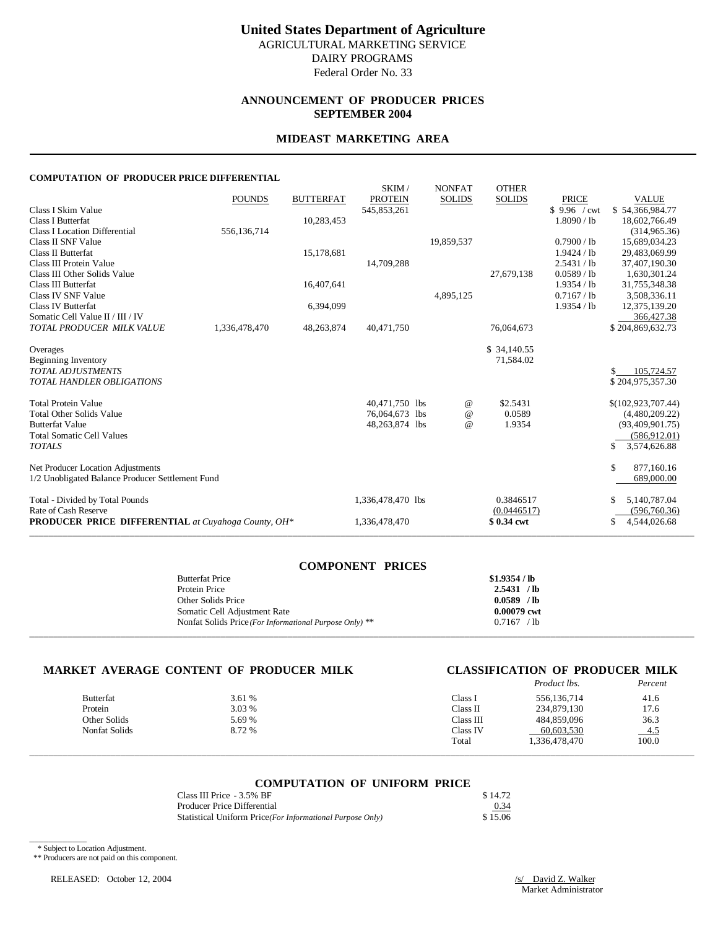# **ANNOUNCEMENT OF PRODUCER PRICES SEPTEMBER 2004**

### **MIDEAST MARKETING AREA**

#### **COMPUTATION OF PRODUCER PRICE DIFFERENTIAL**

|                                                            |               |                  | SKIM/             | <b>NONFAT</b> | <b>OTHER</b>  |              |                    |
|------------------------------------------------------------|---------------|------------------|-------------------|---------------|---------------|--------------|--------------------|
|                                                            | <b>POUNDS</b> | <b>BUTTERFAT</b> | <b>PROTEIN</b>    | <b>SOLIDS</b> | <b>SOLIDS</b> | <b>PRICE</b> | <b>VALUE</b>       |
| Class I Skim Value                                         |               |                  | 545,853,261       |               |               | \$9.96 / cwt | \$54,366,984.77    |
| <b>Class I Butterfat</b>                                   |               | 10,283,453       |                   |               |               | 1.8090 / lb  | 18,602,766.49      |
| <b>Class I Location Differential</b>                       | 556,136,714   |                  |                   |               |               |              | (314,965.36)       |
| Class II SNF Value                                         |               |                  |                   | 19,859,537    |               | 0.7900 / lb  | 15,689,034.23      |
| <b>Class II Butterfat</b>                                  |               | 15,178,681       |                   |               |               | 1.9424 / lb  | 29,483,069.99      |
| Class III Protein Value                                    |               |                  | 14,709,288        |               |               | 2.5431 / lb  | 37,407,190.30      |
| Class III Other Solids Value                               |               |                  |                   |               | 27,679,138    | 0.0589 / lb  | 1,630,301.24       |
| <b>Class III Butterfat</b>                                 |               | 16,407,641       |                   |               |               | 1.9354 / lb  | 31,755,348.38      |
| Class IV SNF Value                                         |               |                  |                   | 4,895,125     |               | 0.7167 / lb  | 3,508,336.11       |
| Class IV Butterfat                                         |               | 6,394,099        |                   |               |               | 1.9354 / lb  | 12,375,139.20      |
| Somatic Cell Value II / III / IV                           |               |                  |                   |               |               |              | 366,427.38         |
| TOTAL PRODUCER MILK VALUE                                  | 1,336,478,470 | 48,263,874       | 40,471,750        |               | 76,064,673    |              | \$204,869,632.73   |
| Overages                                                   |               |                  |                   |               | \$34,140.55   |              |                    |
| Beginning Inventory                                        |               |                  |                   |               | 71,584.02     |              |                    |
| <b>TOTAL ADJUSTMENTS</b>                                   |               |                  |                   |               |               |              | 105,724.57         |
| <b>TOTAL HANDLER OBLIGATIONS</b>                           |               |                  |                   |               |               |              | \$204,975,357.30   |
|                                                            |               |                  |                   |               |               |              |                    |
| <b>Total Protein Value</b>                                 |               |                  | 40,471,750 lbs    | $^{\,a}$      | \$2.5431      |              | \$(102,923,707.44) |
| <b>Total Other Solids Value</b>                            |               |                  | 76,064,673 lbs    | $\omega$      | 0.0589        |              | (4,480,209.22)     |
| <b>Butterfat Value</b>                                     |               |                  | 48,263,874 lbs    | $\omega$      | 1.9354        |              | (93,409,901.75)    |
| <b>Total Somatic Cell Values</b>                           |               |                  |                   |               |               |              | (586.912.01)       |
| <b>TOTALS</b>                                              |               |                  |                   |               |               |              | \$<br>3,574,626.88 |
| Net Producer Location Adjustments                          |               |                  |                   |               |               |              | \$.<br>877,160.16  |
| 1/2 Unobligated Balance Producer Settlement Fund           |               |                  |                   |               |               |              | 689,000.00         |
| Total - Divided by Total Pounds                            |               |                  | 1,336,478,470 lbs |               | 0.3846517     |              | 5,140,787.04       |
| Rate of Cash Reserve                                       |               |                  |                   |               | (0.0446517)   |              | (596, 760.36)      |
| <b>PRODUCER PRICE DIFFERENTIAL</b> at Cuyahoga County, OH* |               |                  | 1,336,478,470     |               | \$0.34 cwt    |              | 4,544,026.68<br>S  |
|                                                            |               |                  |                   |               |               |              |                    |

| <b>COMPONENT PRICES</b>                                 |                |
|---------------------------------------------------------|----------------|
| <b>Butterfat Price</b>                                  | $$1.9354$ / lb |
| Protein Price                                           | 2.5431 / lb    |
| Other Solids Price                                      | $0.0589$ /lb   |
| Somatic Cell Adjustment Rate                            | 0.00079 cwt    |
| Nonfat Solids Price (For Informational Purpose Only) ** | 0.7167 / lb    |
|                                                         |                |

#### **MARKET AVERAGE CONTENT OF PRODUCER MILK CLASSIFICATION OF PRODUCER MILK**

|               |        |           | Product lbs.  | Percent    |
|---------------|--------|-----------|---------------|------------|
| Butterfat     | 3.61 % | Class l   | 556,136,714   | 41.6       |
| Protein       | 3.03 % | Class II  | 234,879,130   | 17.6       |
| Other Solids  | 5.69 % | Class III | 484.859.096   | 36.3       |
| Nonfat Solids | 8.72 % | Class IV  | 60.603.530    | <u>4.5</u> |
|               |        | Total     | 1,336,478,470 | 100.0      |

#### **COMPUTATION OF UNIFORM PRICE**

\_\_\_\_\_\_\_\_\_\_\_\_\_\_\_\_\_\_\_\_\_\_\_\_\_\_\_\_\_\_\_\_\_\_\_\_\_\_\_\_\_\_\_\_\_\_\_\_\_\_\_\_\_\_\_\_\_\_\_\_\_\_\_\_\_\_\_\_\_\_\_\_\_\_\_\_\_\_\_\_\_\_\_\_\_\_\_\_\_\_\_\_\_\_\_\_\_\_\_\_\_\_\_\_\_\_\_\_\_\_\_\_\_\_\_\_\_\_\_\_\_\_\_\_\_\_\_\_\_\_\_\_\_\_\_\_\_\_\_

| Class III Price - 3.5% BF                                 | \$14.72 |
|-----------------------------------------------------------|---------|
| Producer Price Differential                               | 0.34    |
| Statistical Uniform Price(For Informational Purpose Only) | \$15.06 |

\* Subject to Location Adjustment.

\_\_\_\_\_\_\_\_\_\_\_\_

\*\* Producers are not paid on this component.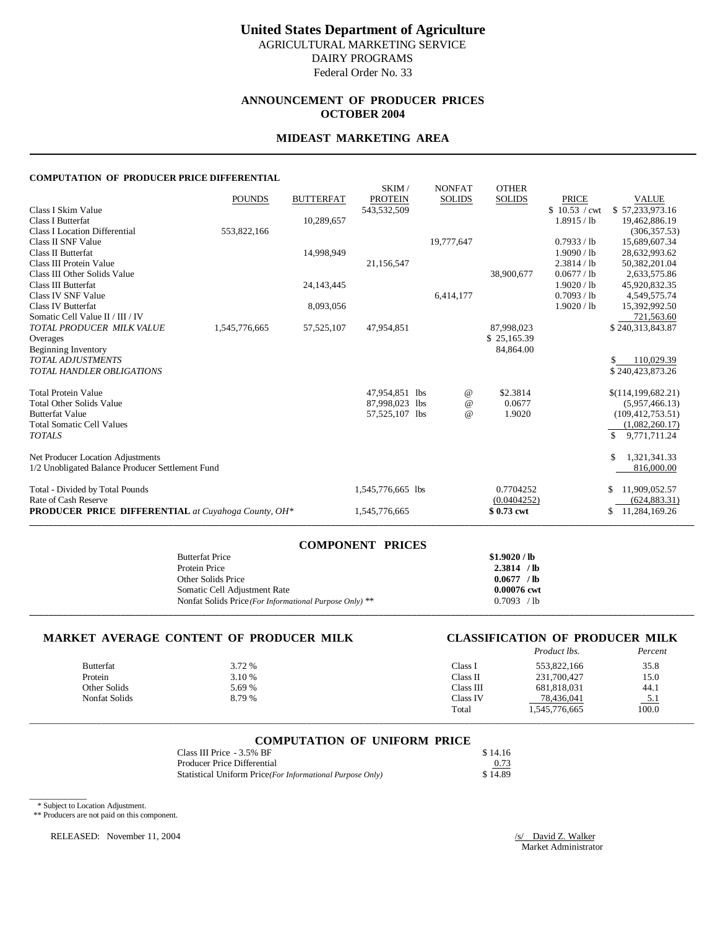### **ANNOUNCEMENT OF PRODUCER PRICES OCTOBER 2004**

### **MIDEAST MARKETING AREA**

#### **COMPUTATION OF PRODUCER PRICE DIFFERENTIAL**

| 1.1110.0 OF TRODUCERTRICE DIFF                             |               |                  |                               |                 |               |                               |                                 |
|------------------------------------------------------------|---------------|------------------|-------------------------------|-----------------|---------------|-------------------------------|---------------------------------|
|                                                            |               |                  | SKIM/                         | <b>NONFAT</b>   | <b>OTHER</b>  |                               |                                 |
| Class I Skim Value                                         | <b>POUNDS</b> | <b>BUTTERFAT</b> | <b>PROTEIN</b><br>543,532,509 | <b>SOLIDS</b>   | <b>SOLIDS</b> | <b>PRICE</b><br>\$10.53 / cwt | <b>VALUE</b><br>\$57,233,973.16 |
| <b>Class I Butterfat</b>                                   |               | 10,289,657       |                               |                 |               | 1.8915 / lb                   | 19,462,886.19                   |
| <b>Class I Location Differential</b>                       | 553,822,166   |                  |                               |                 |               |                               | (306, 357.53)                   |
| Class II SNF Value                                         |               |                  |                               | 19,777,647      |               | 0.7933 / lb                   | 15,689,607.34                   |
| Class II Butterfat                                         |               | 14,998,949       |                               |                 |               | 1.9090 / lb                   | 28,632,993.62                   |
| Class III Protein Value                                    |               |                  | 21,156,547                    |                 |               | 2.3814 / lb                   | 50,382,201.04                   |
| Class III Other Solids Value                               |               |                  |                               |                 | 38,900,677    | 0.0677 / lb                   | 2,633,575.86                    |
| Class III Butterfat                                        |               | 24, 143, 445     |                               |                 |               | 1.9020 / lb                   | 45,920,832.35                   |
| Class IV SNF Value                                         |               |                  |                               | 6,414,177       |               | 0.7093 / lb                   | 4,549,575.74                    |
| <b>Class IV Butterfat</b>                                  |               | 8,093,056        |                               |                 |               | 1.9020 / lb                   | 15,392,992.50                   |
| Somatic Cell Value II / III / IV                           |               |                  |                               |                 |               |                               | 721,563.60                      |
| TOTAL PRODUCER MILK VALUE                                  | 1,545,776,665 | 57,525,107       | 47,954,851                    |                 | 87,998,023    |                               | \$240,313,843.87                |
| Overages                                                   |               |                  |                               |                 | \$25,165.39   |                               |                                 |
| Beginning Inventory                                        |               |                  |                               |                 | 84,864.00     |                               |                                 |
| <b>TOTAL ADJUSTMENTS</b>                                   |               |                  |                               |                 |               |                               | 110,029.39                      |
| <b>TOTAL HANDLER OBLIGATIONS</b>                           |               |                  |                               |                 |               |                               | \$240,423,873.26                |
|                                                            |               |                  |                               |                 |               |                               |                                 |
| <b>Total Protein Value</b>                                 |               |                  | 47,954,851 lbs                | $^{\copyright}$ | \$2.3814      |                               | \$(114,199,682.21)              |
| <b>Total Other Solids Value</b>                            |               |                  | 87.998.023 lbs                | $\omega$        | 0.0677        |                               | (5,957,466.13)                  |
| <b>Butterfat Value</b>                                     |               |                  | 57,525,107 lbs                | $\omega$        | 1.9020        |                               | (109, 412, 753.51)              |
| <b>Total Somatic Cell Values</b>                           |               |                  |                               |                 |               |                               | (1,082,260.17)                  |
| <b>TOTALS</b>                                              |               |                  |                               |                 |               |                               | \$<br>9,771,711.24              |
|                                                            |               |                  |                               |                 |               |                               |                                 |
| Net Producer Location Adjustments                          |               |                  |                               |                 |               |                               | 1,321,341.33<br>\$              |
| 1/2 Unobligated Balance Producer Settlement Fund           |               |                  |                               |                 |               |                               | 816,000.00                      |
|                                                            |               |                  |                               |                 |               |                               |                                 |
| Total - Divided by Total Pounds                            |               |                  | 1,545,776,665 lbs             |                 | 0.7704252     |                               | \$<br>11,909,052.57             |
| Rate of Cash Reserve                                       |               |                  |                               |                 | (0.0404252)   |                               | (624, 883.31)                   |
| <b>PRODUCER PRICE DIFFERENTIAL</b> at Cuyahoga County, OH* |               |                  | 1,545,776,665                 |                 | \$0.73 cwt    |                               | 11,284,169.26<br>S              |
|                                                            |               |                  |                               |                 |               |                               |                                 |

| <b>COMPONENT PRICES</b>                                 |               |
|---------------------------------------------------------|---------------|
| <b>Butterfat Price</b>                                  | \$1.9020 / lb |
| Protein Price                                           | 2.3814 / lb   |
| Other Solids Price                                      | $0.0677$ /lb  |
| Somatic Cell Adjustment Rate                            | 0.00076 cwt   |
| Nonfat Solids Price (For Informational Purpose Only) ** | 0.7093 / lb   |
|                                                         |               |

# **MARKET AVERAGE CONTENT OF PRODUCER MILK CLASSIFICATION OF PRODUCER MILK**<br>Product lbs. Percent

|                  |        |           | Product lbs.  | Percent  |
|------------------|--------|-----------|---------------|----------|
| <b>Butterfat</b> | 3.72 % | Class I   | 553,822,166   | 35.8     |
| Protein          | 3.10 % | Class II  | 231,700,427   | 15.0     |
| Other Solids     | 5.69 % | Class III | 681,818,031   | 44.1     |
| Nonfat Solids    | 8.79 % | Class IV  | 78,436,041    | <u>.</u> |
|                  |        | Total     | 1,545,776,665 | 100.0    |

\_\_\_\_\_\_\_\_\_\_\_\_\_\_\_\_\_\_\_\_\_\_\_\_\_\_\_\_\_\_\_\_\_\_\_\_\_\_\_\_\_\_\_\_\_\_\_\_\_\_\_\_\_\_\_\_\_\_\_\_\_\_\_\_\_\_\_\_\_\_\_\_\_\_\_\_\_\_\_\_\_\_\_\_\_\_\_\_\_\_\_\_\_\_\_\_\_\_\_\_\_\_\_\_\_\_\_\_\_\_\_\_\_\_\_\_\_\_\_\_\_\_\_\_\_\_\_\_\_\_\_\_\_\_\_\_\_\_\_

| <b>COMPUTATION OF UNIFORM PRICE</b> |         |
|-------------------------------------|---------|
| Class III Price - 3.5% BF           | \$14.16 |
| Producer Price Differential         | 0.73    |

Statistical Uniform Price *(For Informational Purpose Only)* \$ 14.89

#### \* Subject to Location Adjustment.

\_\_\_\_\_\_\_\_\_\_\_\_

\*\* Producers are not paid on this component.

RELEASED: November 11, 2004 /s/ David Z. Walker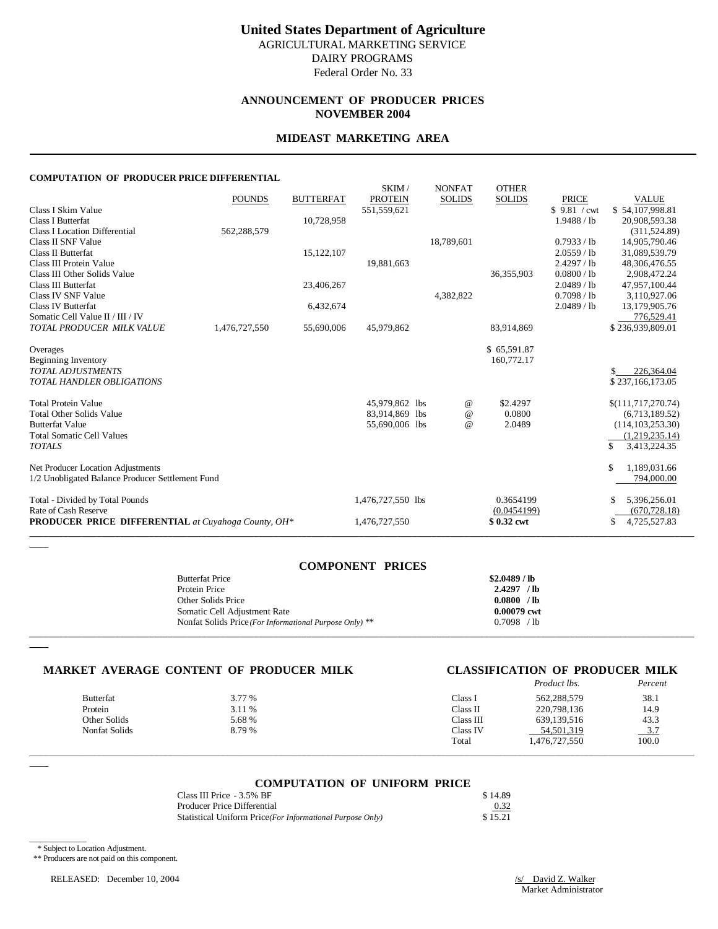# **ANNOUNCEMENT OF PRODUCER PRICES NOVEMBER 2004**

### **MIDEAST MARKETING AREA**

#### **COMPUTATION OF PRODUCER PRICE DIFFERENTIAL**

| 1.1110.0 OF TRODUCERTRICE DIFF                                |               |                  |                                  |                                |                               |                            |                                      |
|---------------------------------------------------------------|---------------|------------------|----------------------------------|--------------------------------|-------------------------------|----------------------------|--------------------------------------|
|                                                               | <b>POUNDS</b> | <b>BUTTERFAT</b> | SKIM/<br><b>PROTEIN</b>          | <b>NONFAT</b><br><b>SOLIDS</b> | <b>OTHER</b><br><b>SOLIDS</b> | <b>PRICE</b>               | <b>VALUE</b>                         |
| Class I Skim Value                                            |               |                  | 551,559,621                      |                                |                               | \$9.81 / cwt               | \$54,107,998.81                      |
| Class I Butterfat                                             |               | 10,728,958       |                                  |                                |                               | 1.9488 / lb                | 20,908,593.38                        |
| Class I Location Differential                                 | 562,288,579   |                  |                                  |                                |                               |                            | (311, 524.89)                        |
| Class II SNF Value                                            |               |                  |                                  | 18,789,601                     |                               | 0.7933 / lb                | 14,905,790.46                        |
| Class II Butterfat                                            |               | 15,122,107       |                                  |                                |                               | 2.0559 / lb                | 31,089,539.79                        |
| Class III Protein Value                                       |               |                  | 19,881,663                       |                                |                               | 2.4297 / lb                | 48,306,476.55                        |
| Class III Other Solids Value                                  |               |                  |                                  |                                | 36,355,903                    | 0.0800 / lb                | 2,908,472.24                         |
| <b>Class III Butterfat</b>                                    |               | 23,406,267       |                                  |                                |                               | 2.0489 / lb                | 47,957,100.44                        |
| Class IV SNF Value<br>Class IV Butterfat                      |               | 6,432,674        |                                  | 4,382,822                      |                               | 0.7098 / lb<br>2.0489 / lb | 3,110,927.06<br>13,179,905.76        |
| Somatic Cell Value II / III / IV                              |               |                  |                                  |                                |                               |                            | 776,529.41                           |
| TOTAL PRODUCER MILK VALUE                                     | 1,476,727,550 | 55,690,006       | 45,979,862                       |                                | 83.914.869                    |                            | \$236.939.809.01                     |
|                                                               |               |                  |                                  |                                |                               |                            |                                      |
| Overages                                                      |               |                  |                                  |                                | \$65,591.87                   |                            |                                      |
| <b>Beginning Inventory</b>                                    |               |                  |                                  |                                | 160,772.17                    |                            |                                      |
| <b>TOTAL ADJUSTMENTS</b>                                      |               |                  |                                  |                                |                               |                            | 226,364.04                           |
| <b>TOTAL HANDLER OBLIGATIONS</b>                              |               |                  |                                  |                                |                               |                            | \$237,166,173.05                     |
|                                                               |               |                  |                                  |                                |                               |                            |                                      |
| <b>Total Protein Value</b><br><b>Total Other Solids Value</b> |               |                  | 45,979,862 lbs<br>83,914,869 lbs | $^{\copyright}$<br>$\omega$    | \$2.4297<br>0.0800            |                            | \$(111,717,270.74)<br>(6,713,189.52) |
| <b>Butterfat Value</b>                                        |               |                  | 55,690,006 lbs                   | $\omega$                       | 2.0489                        |                            | (114, 103, 253, 30)                  |
| <b>Total Somatic Cell Values</b>                              |               |                  |                                  |                                |                               |                            | (1,219,235.14)                       |
| <b>TOTALS</b>                                                 |               |                  |                                  |                                |                               |                            | \$<br>3,413,224.35                   |
|                                                               |               |                  |                                  |                                |                               |                            |                                      |
| Net Producer Location Adjustments                             |               |                  |                                  |                                |                               |                            | 1,189,031.66<br>\$                   |
| 1/2 Unobligated Balance Producer Settlement Fund              |               |                  |                                  |                                |                               |                            | 794,000.00                           |
| Total - Divided by Total Pounds                               |               |                  | 1,476,727,550 lbs                |                                | 0.3654199                     |                            | 5,396,256.01                         |
| Rate of Cash Reserve                                          |               |                  |                                  |                                | (0.0454199)                   |                            | (670, 728.18)                        |
| PRODUCER PRICE DIFFERENTIAL at Cuyahoga County, OH*           |               |                  | 1,476,727,550                    |                                | \$0.32 cwt                    |                            | \$<br>4,725,527.83                   |
|                                                               |               |                  |                                  |                                |                               |                            |                                      |

| <b>COMPONENT PRICES</b>                                 |              |
|---------------------------------------------------------|--------------|
| <b>Butterfat Price</b>                                  | \$2.0489/lb  |
| Protein Price                                           | $2.4297$ /lb |
| Other Solids Price                                      | 0.0800 / lb  |
| Somatic Cell Adjustment Rate                            | 0.00079 cwt  |
| Nonfat Solids Price (For Informational Purpose Only) ** | $0.7098$ /lb |
|                                                         |              |

#### **MARKET AVERAGE CONTENT OF PRODUCER MILK CLASSIFICATION OF PRODUCER MILK**

|                  |        |           | Product lbs.  | Percent                        |
|------------------|--------|-----------|---------------|--------------------------------|
| <b>Butterfat</b> | 3.77 % | Class l   | 562,288,579   | 38.1                           |
| Protein          | 3.11 % | Class II  | 220,798,136   | 14.9                           |
| Other Solids     | 5.68 % | Class III | 639,139,516   | 43.3                           |
| Nonfat Solids    | 8.79 % | Class IV  | 54,501,319    | 37<br>$\overline{\phantom{0}}$ |
|                  |        | Total     | 1,476,727,550 | 100.0                          |

 $\overline{\phantom{a}}$ 

\_\_\_\_\_\_\_\_\_\_\_\_

**\_\_\_\_**

**\_\_\_\_**

#### **COMPUTATION OF UNIFORM PRICE**

\_\_\_\_\_\_\_\_\_\_\_\_\_\_\_\_\_\_\_\_\_\_\_\_\_\_\_\_\_\_\_\_\_\_\_\_\_\_\_\_\_\_\_\_\_\_\_\_\_\_\_\_\_\_\_\_\_\_\_\_\_\_\_\_\_\_\_\_\_\_\_\_\_\_\_\_\_\_\_\_\_\_\_\_\_\_\_\_\_\_\_\_\_\_\_\_\_\_\_\_\_\_\_\_\_\_\_\_\_\_\_\_\_\_\_\_\_\_\_\_\_\_\_\_\_\_\_\_\_\_\_\_\_\_\_\_\_\_\_

| Class III Price - 3.5% BF                                 | \$14.89 |
|-----------------------------------------------------------|---------|
| Producer Price Differential                               | 0.32    |
| Statistical Uniform Price(For Informational Purpose Only) | \$15.21 |

\* Subject to Location Adjustment.

\*\* Producers are not paid on this component.